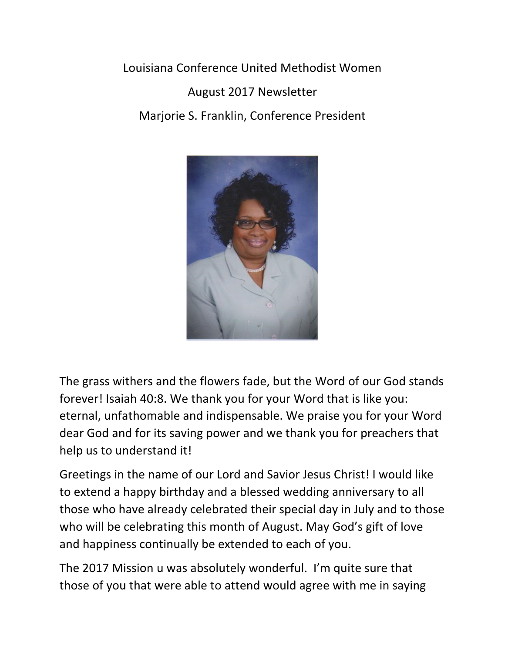Louisiana Conference United Methodist Women August 2017 Newsletter Marjorie S. Franklin, Conference President



The grass withers and the flowers fade, but the Word of our God stands forever! Isaiah 40:8. We thank you for your Word that is like you: eternal, unfathomable and indispensable. We praise you for your Word dear God and for its saving power and we thank you for preachers that help us to understand it!

Greetings in the name of our Lord and Savior Jesus Christ! I would like to extend a happy birthday and a blessed wedding anniversary to all those who have already celebrated their special day in July and to those who will be celebrating this month of August. May God's gift of love and happiness continually be extended to each of you.

The 2017 Mission u was absolutely wonderful. I'm quite sure that those of you that were able to attend would agree with me in saying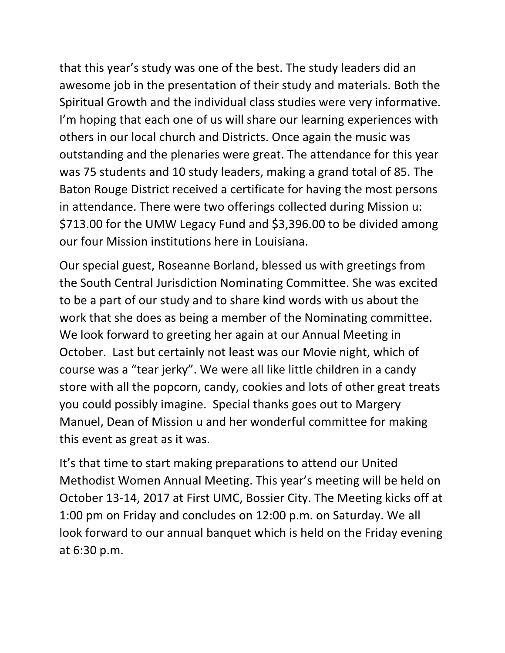that this year's study was one of the best. The study leaders did an awesome job in the presentation of their study and materials. Both the Spiritual Growth and the individual class studies were very informative. I'm hoping that each one of us will share our learning experiences with others in our local church and Districts. Once again the music was outstanding and the plenaries were great. The attendance for this year was 75 students and 10 study leaders, making a grand total of 85. The Baton Rouge District received a certificate for having the most persons in attendance. There were two offerings collected during Mission u: \$713.00 for the UMW Legacy Fund and \$3,396.00 to be divided among our four Mission institutions here in Louisiana.

Our special guest, Roseanne Borland, blessed us with greetings from the South Central Jurisdiction Nominating Committee. She was excited to be a part of our study and to share kind words with us about the work that she does as being a member of the Nominating committee. We look forward to greeting her again at our Annual Meeting in October. Last but certainly not least was our Movie night, which of course was a "tear jerky". We were all like little children in a candy store with all the popcorn, candy, cookies and lots of other great treats you could possibly imagine. Special thanks goes out to Margery Manuel, Dean of Mission u and her wonderful committee for making this event as great as it was.

It's that time to start making preparations to attend our United Methodist Women Annual Meeting. This year's meeting will be held on October 13-14, 2017 at First UMC, Bossier City. The Meeting kicks off at 1:00 pm on Friday and concludes on 12:00 p.m. on Saturday. We all look forward to our annual banquet which is held on the Friday evening at 6:30 p.m.